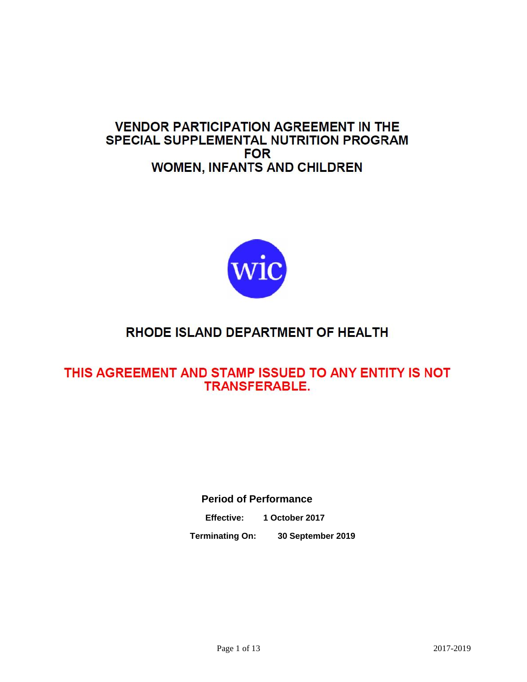## **VENDOR PARTICIPATION AGREEMENT IN THE** SPECIAL SUPPLEMENTAL NUTRITION PROGRAM **FOR WOMEN, INFANTS AND CHILDREN**



# RHODE ISLAND DEPARTMENT OF HEALTH

## THIS AGREEMENT AND STAMP ISSUED TO ANY ENTITY IS NOT **TRANSFERABLE.**

**Period of Performance**

**Effective: 1 October 2017**

**Terminating On: 30 September 2019**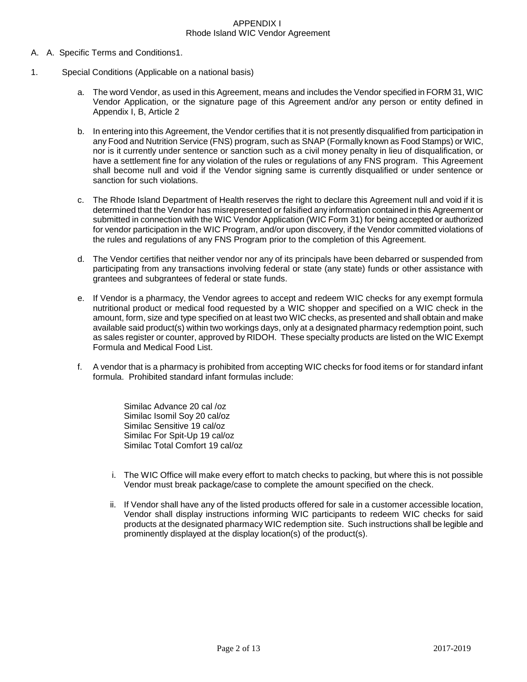#### APPENDIX I Rhode Island WIC Vendor Agreement

- A. A. Specific Terms and Conditions1.
- 1. Special Conditions (Applicable on a national basis)
	- a. The word Vendor, as used in this Agreement, means and includes the Vendor specified in FORM 31, WIC Vendor Application, or the signature page of this Agreement and/or any person or entity defined in Appendix I, B, Article 2
	- b. In entering into this Agreement, the Vendor certifies that it is not presently disqualified from participation in any Food and Nutrition Service (FNS) program, such as SNAP (Formally known as Food Stamps) or WIC, nor is it currently under sentence or sanction such as a civil money penalty in lieu of disqualification, or have a settlement fine for any violation of the rules or regulations of any FNS program. This Agreement shall become null and void if the Vendor signing same is currently disqualified or under sentence or sanction for such violations.
	- c. The Rhode Island Department of Health reserves the right to declare this Agreement null and void if it is determined that the Vendor has misrepresented or falsified any information contained in this Agreement or submitted in connection with the WIC Vendor Application (WIC Form 31) for being accepted or authorized for vendor participation in the WIC Program, and/or upon discovery, if the Vendor committed violations of the rules and regulations of any FNS Program prior to the completion of this Agreement.
	- d. The Vendor certifies that neither vendor nor any of its principals have been debarred or suspended from participating from any transactions involving federal or state (any state) funds or other assistance with grantees and subgrantees of federal or state funds.
	- e. If Vendor is a pharmacy, the Vendor agrees to accept and redeem WIC checks for any exempt formula nutritional product or medical food requested by a WIC shopper and specified on a WIC check in the amount, form, size and type specified on at least two WIC checks, as presented and shall obtain and make available said product(s) within two workings days, only at a designated pharmacy redemption point, such as sales register or counter, approved by RIDOH. These specialty products are listed on the WIC Exempt Formula and Medical Food List.
	- f. A vendor that is a pharmacy is prohibited from accepting WIC checks for food items or for standard infant formula. Prohibited standard infant formulas include:

Similac Advance 20 cal /oz Similac Isomil Soy 20 cal/oz Similac Sensitive 19 cal/oz Similac For Spit-Up 19 cal/oz Similac Total Comfort 19 cal/oz

- i. The WIC Office will make every effort to match checks to packing, but where this is not possible Vendor must break package/case to complete the amount specified on the check.
- ii. If Vendor shall have any of the listed products offered for sale in a customer accessible location, Vendor shall display instructions informing WIC participants to redeem WIC checks for said products at the designated pharmacy WIC redemption site. Such instructions shall be legible and prominently displayed at the display location(s) of the product(s).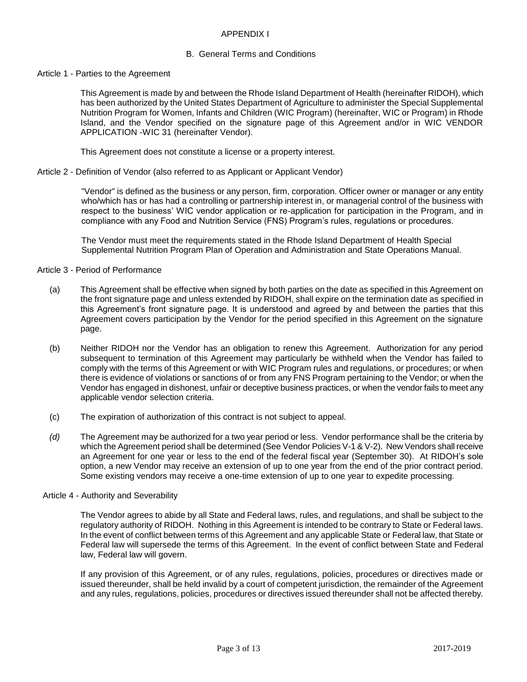## APPENDIX I

#### B. General Terms and Conditions

#### Article 1 - Parties to the Agreement

This Agreement is made by and between the Rhode Island Department of Health (hereinafter RIDOH), which has been authorized by the United States Department of Agriculture to administer the Special Supplemental Nutrition Program for Women, Infants and Children (WIC Program) (hereinafter, WIC or Program) in Rhode Island, and the Vendor specified on the signature page of this Agreement and/or in WIC VENDOR APPLICATION -WIC 31 (hereinafter Vendor).

This Agreement does not constitute a license or a property interest.

Article 2 - Definition of Vendor (also referred to as Applicant or Applicant Vendor)

"Vendor" is defined as the business or any person, firm, corporation. Officer owner or manager or any entity who/which has or has had a controlling or partnership interest in, or managerial control of the business with respect to the business' WIC vendor application or re-application for participation in the Program, and in compliance with any Food and Nutrition Service (FNS) Program's rules, regulations or procedures.

The Vendor must meet the requirements stated in the Rhode Island Department of Health Special Supplemental Nutrition Program Plan of Operation and Administration and State Operations Manual.

## Article 3 - Period of Performance

- (a) This Agreement shall be effective when signed by both parties on the date as specified in this Agreement on the front signature page and unless extended by RIDOH, shall expire on the termination date as specified in this Agreement's front signature page. It is understood and agreed by and between the parties that this Agreement covers participation by the Vendor for the period specified in this Agreement on the signature page.
- (b) Neither RIDOH nor the Vendor has an obligation to renew this Agreement. Authorization for any period subsequent to termination of this Agreement may particularly be withheld when the Vendor has failed to comply with the terms of this Agreement or with WIC Program rules and regulations, or procedures; or when there is evidence of violations or sanctions of or from any FNS Program pertaining to the Vendor; or when the Vendor has engaged in dishonest, unfair or deceptive business practices, or when the vendor fails to meet any applicable vendor selection criteria.
- (c) The expiration of authorization of this contract is not subject to appeal.
- *(d)* The Agreement may be authorized for a two year period or less. Vendor performance shall be the criteria by which the Agreement period shall be determined (See Vendor Policies V-1 & V-2). New Vendors shall receive an Agreement for one year or less to the end of the federal fiscal year (September 30). At RIDOH's sole option, a new Vendor may receive an extension of up to one year from the end of the prior contract period. Some existing vendors may receive a one-time extension of up to one year to expedite processing.

#### Article 4 - Authority and Severability

The Vendor agrees to abide by all State and Federal laws, rules, and regulations, and shall be subject to the regulatory authority of RIDOH. Nothing in this Agreement is intended to be contrary to State or Federal laws. In the event of conflict between terms of this Agreement and any applicable State or Federal law, that State or Federal law will supersede the terms of this Agreement. In the event of conflict between State and Federal law, Federal law will govern.

If any provision of this Agreement, or of any rules, regulations, policies, procedures or directives made or issued thereunder, shall be held invalid by a court of competent jurisdiction, the remainder of the Agreement and any rules, regulations, policies, procedures or directives issued thereunder shall not be affected thereby.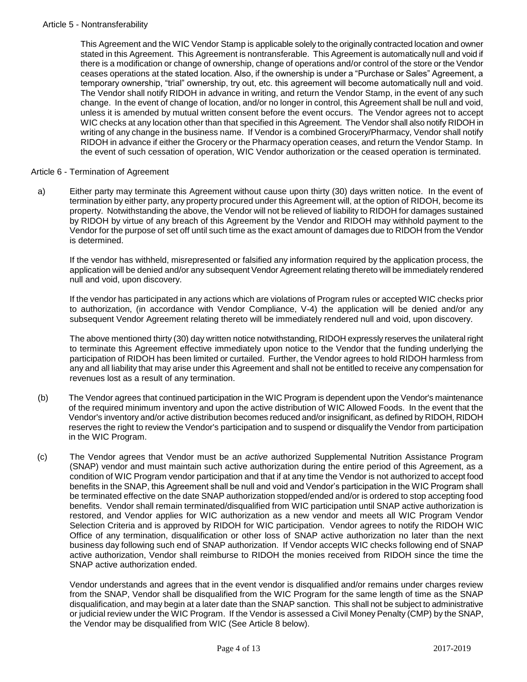## Article 5 - Nontransferability

This Agreement and the WIC Vendor Stamp is applicable solely to the originally contracted location and owner stated in this Agreement. This Agreement is nontransferable. This Agreement is automatically null and void if there is a modification or change of ownership, change of operations and/or control of the store or the Vendor ceases operations at the stated location. Also, if the ownership is under a "Purchase or Sales" Agreement, a temporary ownership, "trial" ownership, try out, etc. this agreement will become automatically null and void. The Vendor shall notify RIDOH in advance in writing, and return the Vendor Stamp, in the event of any such change. In the event of change of location, and/or no longer in control, this Agreement shall be null and void, unless it is amended by mutual written consent before the event occurs. The Vendor agrees not to accept WIC checks at any location other than that specified in this Agreement. The Vendor shall also notify RIDOH in writing of any change in the business name. If Vendor is a combined Grocery/Pharmacy, Vendor shall notify RIDOH in advance if either the Grocery or the Pharmacy operation ceases, and return the Vendor Stamp. In the event of such cessation of operation, WIC Vendor authorization or the ceased operation is terminated.

## Article 6 - Termination of Agreement

a) Either party may terminate this Agreement without cause upon thirty (30) days written notice. In the event of termination by either party, any property procured under this Agreement will, at the option of RIDOH, become its property. Notwithstanding the above, the Vendor will not be relieved of liability to RIDOH for damages sustained by RIDOH by virtue of any breach of this Agreement by the Vendor and RIDOH may withhold payment to the Vendor for the purpose of set off until such time as the exact amount of damages due to RIDOH from the Vendor is determined.

If the vendor has withheld, misrepresented or falsified any information required by the application process, the application will be denied and/or any subsequent Vendor Agreement relating thereto will be immediately rendered null and void, upon discovery.

If the vendor has participated in any actions which are violations of Program rules or accepted WIC checks prior to authorization, (in accordance with Vendor Compliance, V-4) the application will be denied and/or any subsequent Vendor Agreement relating thereto will be immediately rendered null and void, upon discovery.

The above mentioned thirty (30) day written notice notwithstanding, RIDOH expressly reserves the unilateral right to terminate this Agreement effective immediately upon notice to the Vendor that the funding underlying the participation of RIDOH has been limited or curtailed. Further, the Vendor agrees to hold RIDOH harmless from any and all liability that may arise under this Agreement and shall not be entitled to receive any compensation for revenues lost as a result of any termination.

- (b) The Vendor agrees that continued participation in the WIC Program is dependent upon the Vendor's maintenance of the required minimum inventory and upon the active distribution of WIC Allowed Foods. In the event that the Vendor's inventory and/or active distribution becomes reduced and/or insignificant, as defined by RIDOH, RIDOH reserves the right to review the Vendor's participation and to suspend or disqualify the Vendor from participation in the WIC Program.
- (c) The Vendor agrees that Vendor must be an *active* authorized Supplemental Nutrition Assistance Program (SNAP) vendor and must maintain such active authorization during the entire period of this Agreement, as a condition of WIC Program vendor participation and that if at any time the Vendor is not authorized to accept food benefits in the SNAP, this Agreement shall be null and void and Vendor's participation in the WIC Program shall be terminated effective on the date SNAP authorization stopped/ended and/or is ordered to stop accepting food benefits. Vendor shall remain terminated/disqualified from WIC participation until SNAP active authorization is restored, and Vendor applies for WIC authorization as a new vendor and meets all WIC Program Vendor Selection Criteria and is approved by RIDOH for WIC participation. Vendor agrees to notify the RIDOH WIC Office of any termination, disqualification or other loss of SNAP active authorization no later than the next business day following such end of SNAP authorization. If Vendor accepts WIC checks following end of SNAP active authorization, Vendor shall reimburse to RIDOH the monies received from RIDOH since the time the SNAP active authorization ended.

Vendor understands and agrees that in the event vendor is disqualified and/or remains under charges review from the SNAP, Vendor shall be disqualified from the WIC Program for the same length of time as the SNAP disqualification, and may begin at a later date than the SNAP sanction. This shall not be subject to administrative or judicial review under the WIC Program. If the Vendor is assessed a Civil Money Penalty (CMP) by the SNAP, the Vendor may be disqualified from WIC (See Article 8 below).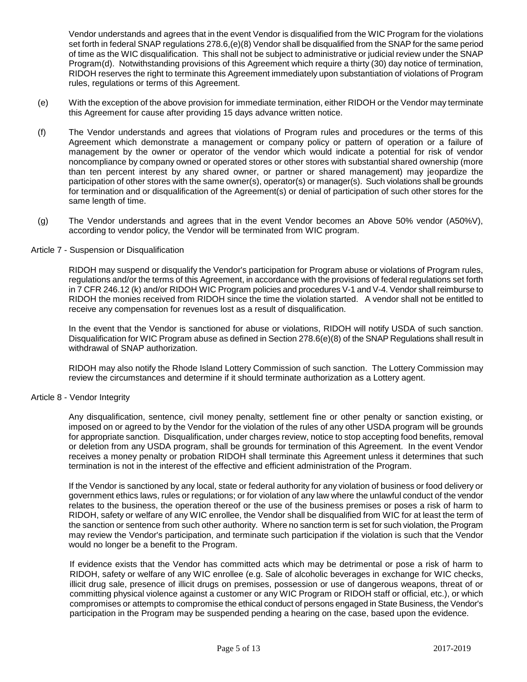Vendor understands and agrees that in the event Vendor is disqualified from the WIC Program for the violations set forth in federal SNAP regulations 278.6,(e)(8) Vendor shall be disqualified from the SNAP for the same period of time as the WIC disqualification. This shall not be subject to administrative or judicial review under the SNAP Program(d). Notwithstanding provisions of this Agreement which require a thirty (30) day notice of termination, RIDOH reserves the right to terminate this Agreement immediately upon substantiation of violations of Program rules, regulations or terms of this Agreement.

- (e) With the exception of the above provision for immediate termination, either RIDOH or the Vendor may terminate this Agreement for cause after providing 15 days advance written notice.
- (f) The Vendor understands and agrees that violations of Program rules and procedures or the terms of this Agreement which demonstrate a management or company policy or pattern of operation or a failure of management by the owner or operator of the vendor which would indicate a potential for risk of vendor noncompliance by company owned or operated stores or other stores with substantial shared ownership (more than ten percent interest by any shared owner, or partner or shared management) may jeopardize the participation of other stores with the same owner(s), operator(s) or manager(s). Such violations shall be grounds for termination and or disqualification of the Agreement(s) or denial of participation of such other stores for the same length of time.
- (g) The Vendor understands and agrees that in the event Vendor becomes an Above 50% vendor (A50%V), according to vendor policy, the Vendor will be terminated from WIC program.

## Article 7 - Suspension or Disqualification

RIDOH may suspend or disqualify the Vendor's participation for Program abuse or violations of Program rules, regulations and/or the terms of this Agreement, in accordance with the provisions of federal regulations set forth in 7 CFR 246.12 (k) and/or RIDOH WIC Program policies and procedures V-1 and V-4. Vendor shall reimburse to RIDOH the monies received from RIDOH since the time the violation started. A vendor shall not be entitled to receive any compensation for revenues lost as a result of disqualification.

In the event that the Vendor is sanctioned for abuse or violations, RIDOH will notify USDA of such sanction. Disqualification for WIC Program abuse as defined in Section 278.6(e)(8) of the SNAP Regulations shall result in withdrawal of SNAP authorization.

RIDOH may also notify the Rhode Island Lottery Commission of such sanction. The Lottery Commission may review the circumstances and determine if it should terminate authorization as a Lottery agent.

## Article 8 - Vendor Integrity

Any disqualification, sentence, civil money penalty, settlement fine or other penalty or sanction existing, or imposed on or agreed to by the Vendor for the violation of the rules of any other USDA program will be grounds for appropriate sanction. Disqualification, under charges review, notice to stop accepting food benefits, removal or deletion from any USDA program, shall be grounds for termination of this Agreement. In the event Vendor receives a money penalty or probation RIDOH shall terminate this Agreement unless it determines that such termination is not in the interest of the effective and efficient administration of the Program.

If the Vendor is sanctioned by any local, state or federal authority for any violation of business or food delivery or government ethics laws, rules or regulations; or for violation of any law where the unlawful conduct of the vendor relates to the business, the operation thereof or the use of the business premises or poses a risk of harm to RIDOH, safety or welfare of any WIC enrollee, the Vendor shall be disqualified from WIC for at least the term of the sanction or sentence from such other authority. Where no sanction term is set for such violation, the Program may review the Vendor's participation, and terminate such participation if the violation is such that the Vendor would no longer be a benefit to the Program.

If evidence exists that the Vendor has committed acts which may be detrimental or pose a risk of harm to RIDOH, safety or welfare of any WIC enrollee (e.g. Sale of alcoholic beverages in exchange for WIC checks, illicit drug sale, presence of illicit drugs on premises, possession or use of dangerous weapons, threat of or committing physical violence against a customer or any WIC Program or RIDOH staff or official, etc.), or which compromises or attempts to compromise the ethical conduct of persons engaged in State Business, the Vendor's participation in the Program may be suspended pending a hearing on the case, based upon the evidence.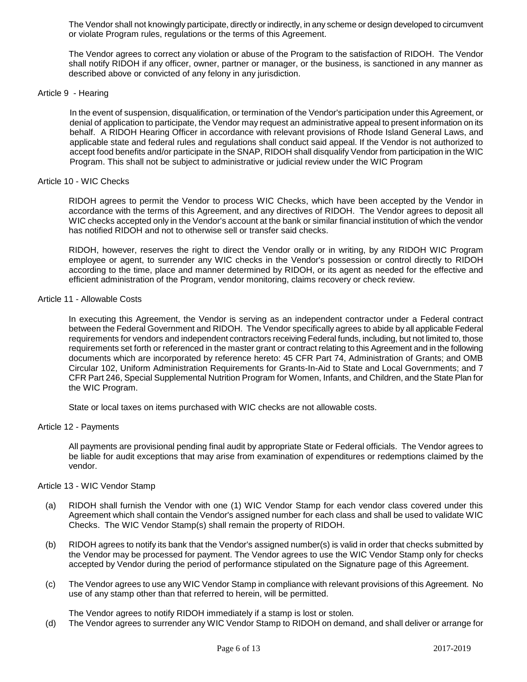The Vendor shall not knowingly participate, directly or indirectly, in any scheme or design developed to circumvent or violate Program rules, regulations or the terms of this Agreement.

The Vendor agrees to correct any violation or abuse of the Program to the satisfaction of RIDOH. The Vendor shall notify RIDOH if any officer, owner, partner or manager, or the business, is sanctioned in any manner as described above or convicted of any felony in any jurisdiction.

#### Article 9 - Hearing

In the event of suspension, disqualification, or termination of the Vendor's participation under this Agreement, or denial of application to participate, the Vendor may request an administrative appeal to present information on its behalf. A RIDOH Hearing Officer in accordance with relevant provisions of Rhode Island General Laws, and applicable state and federal rules and regulations shall conduct said appeal. If the Vendor is not authorized to accept food benefits and/or participate in the SNAP, RIDOH shall disqualify Vendor from participation in the WIC Program. This shall not be subject to administrative or judicial review under the WIC Program

#### Article 10 - WIC Checks

RIDOH agrees to permit the Vendor to process WIC Checks, which have been accepted by the Vendor in accordance with the terms of this Agreement, and any directives of RIDOH. The Vendor agrees to deposit all WIC checks accepted only in the Vendor's account at the bank or similar financial institution of which the vendor has notified RIDOH and not to otherwise sell or transfer said checks.

RIDOH, however, reserves the right to direct the Vendor orally or in writing, by any RIDOH WIC Program employee or agent, to surrender any WIC checks in the Vendor's possession or control directly to RIDOH according to the time, place and manner determined by RIDOH, or its agent as needed for the effective and efficient administration of the Program, vendor monitoring, claims recovery or check review.

## Article 11 - Allowable Costs

In executing this Agreement, the Vendor is serving as an independent contractor under a Federal contract between the Federal Government and RIDOH. The Vendor specifically agrees to abide by all applicable Federal requirements for vendors and independent contractors receiving Federal funds, including, but not limited to, those requirements set forth or referenced in the master grant or contract relating to this Agreement and in the following documents which are incorporated by reference hereto: 45 CFR Part 74, Administration of Grants; and OMB Circular 102, Uniform Administration Requirements for Grants-In-Aid to State and Local Governments; and 7 CFR Part 246, Special Supplemental Nutrition Program for Women, Infants, and Children, and the State Plan for the WIC Program.

State or local taxes on items purchased with WIC checks are not allowable costs.

#### Article 12 - Payments

All payments are provisional pending final audit by appropriate State or Federal officials. The Vendor agrees to be liable for audit exceptions that may arise from examination of expenditures or redemptions claimed by the vendor.

## Article 13 - WIC Vendor Stamp

- (a) RIDOH shall furnish the Vendor with one (1) WIC Vendor Stamp for each vendor class covered under this Agreement which shall contain the Vendor's assigned number for each class and shall be used to validate WIC Checks. The WIC Vendor Stamp(s) shall remain the property of RIDOH.
- (b) RIDOH agrees to notify its bank that the Vendor's assigned number(s) is valid in order that checks submitted by the Vendor may be processed for payment. The Vendor agrees to use the WIC Vendor Stamp only for checks accepted by Vendor during the period of performance stipulated on the Signature page of this Agreement.
- (c) The Vendor agrees to use any WIC Vendor Stamp in compliance with relevant provisions of this Agreement. No use of any stamp other than that referred to herein, will be permitted.

The Vendor agrees to notify RIDOH immediately if a stamp is lost or stolen.

(d) The Vendor agrees to surrender any WIC Vendor Stamp to RIDOH on demand, and shall deliver or arrange for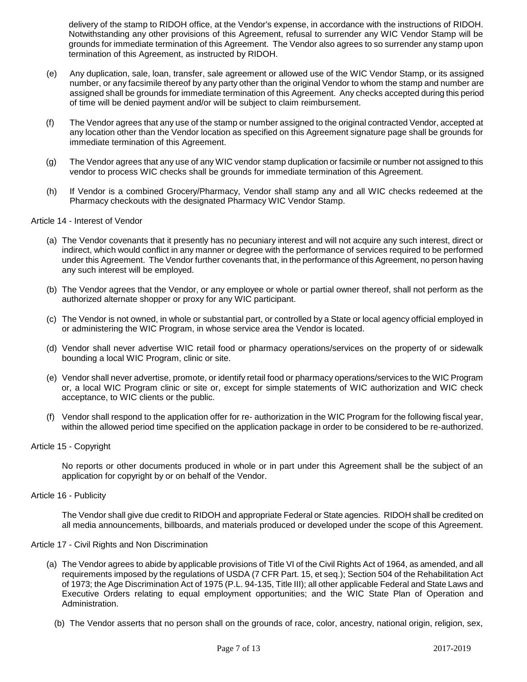delivery of the stamp to RIDOH office, at the Vendor's expense, in accordance with the instructions of RIDOH. Notwithstanding any other provisions of this Agreement, refusal to surrender any WIC Vendor Stamp will be grounds for immediate termination of this Agreement. The Vendor also agrees to so surrender any stamp upon termination of this Agreement, as instructed by RIDOH.

- (e) Any duplication, sale, loan, transfer, sale agreement or allowed use of the WIC Vendor Stamp, or its assigned number, or any facsimile thereof by any party other than the original Vendor to whom the stamp and number are assigned shall be grounds for immediate termination of this Agreement. Any checks accepted during this period of time will be denied payment and/or will be subject to claim reimbursement.
- (f) The Vendor agrees that any use of the stamp or number assigned to the original contracted Vendor, accepted at any location other than the Vendor location as specified on this Agreement signature page shall be grounds for immediate termination of this Agreement.
- (g) The Vendor agrees that any use of any WIC vendor stamp duplication or facsimile or number not assigned to this vendor to process WIC checks shall be grounds for immediate termination of this Agreement.
- (h) If Vendor is a combined Grocery/Pharmacy, Vendor shall stamp any and all WIC checks redeemed at the Pharmacy checkouts with the designated Pharmacy WIC Vendor Stamp.

## Article 14 - Interest of Vendor

- (a) The Vendor covenants that it presently has no pecuniary interest and will not acquire any such interest, direct or indirect, which would conflict in any manner or degree with the performance of services required to be performed under this Agreement. The Vendor further covenants that, in the performance of this Agreement, no person having any such interest will be employed.
- (b) The Vendor agrees that the Vendor, or any employee or whole or partial owner thereof, shall not perform as the authorized alternate shopper or proxy for any WIC participant.
- (c) The Vendor is not owned, in whole or substantial part, or controlled by a State or local agency official employed in or administering the WIC Program, in whose service area the Vendor is located.
- (d) Vendor shall never advertise WIC retail food or pharmacy operations/services on the property of or sidewalk bounding a local WIC Program, clinic or site.
- (e) Vendor shall never advertise, promote, or identify retail food or pharmacy operations/services to the WIC Program or, a local WIC Program clinic or site or, except for simple statements of WIC authorization and WIC check acceptance, to WIC clients or the public.
- (f) Vendor shall respond to the application offer for re- authorization in the WIC Program for the following fiscal year, within the allowed period time specified on the application package in order to be considered to be re-authorized.
- Article 15 Copyright

No reports or other documents produced in whole or in part under this Agreement shall be the subject of an application for copyright by or on behalf of the Vendor.

Article 16 - Publicity

The Vendor shall give due credit to RIDOH and appropriate Federal or State agencies. RIDOH shall be credited on all media announcements, billboards, and materials produced or developed under the scope of this Agreement.

## Article 17 - Civil Rights and Non Discrimination

- (a) The Vendor agrees to abide by applicable provisions of Title VI of the Civil Rights Act of 1964, as amended, and all requirements imposed by the regulations of USDA (7 CFR Part. 15, et seq.); Section 504 of the Rehabilitation Act of 1973; the Age Discrimination Act of 1975 (P.L. 94-135, Title III); all other applicable Federal and State Laws and Executive Orders relating to equal employment opportunities; and the WIC State Plan of Operation and Administration.
	- (b) The Vendor asserts that no person shall on the grounds of race, color, ancestry, national origin, religion, sex,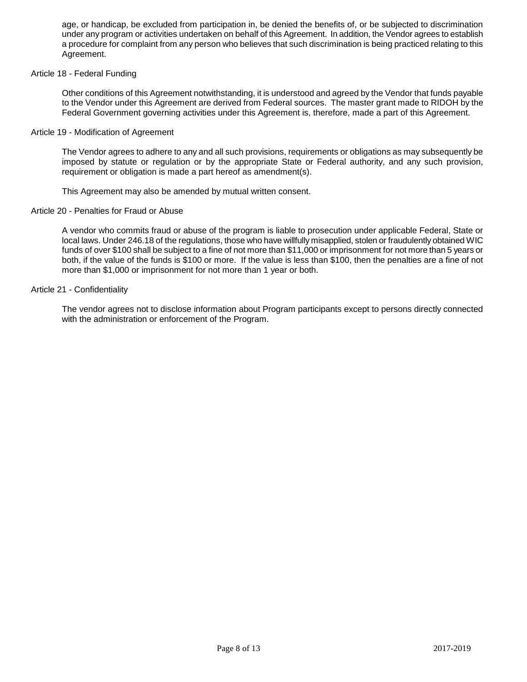age, or handicap, be excluded from participation in, be denied the benefits of, or be subjected to discrimination under any program or activities undertaken on behalf of this Agreement. In addition, the Vendor agrees to establish a procedure for complaint from any person who believes that such discrimination is being practiced relating to this Agreement.

## Article 18 - Federal Funding

Other conditions of this Agreement notwithstanding, it is understood and agreed by the Vendor that funds payable to the Vendor under this Agreement are derived from Federal sources. The master grant made to RIDOH by the Federal Government governing activities under this Agreement is, therefore, made a part of this Agreement.

#### Article 19 - Modification of Agreement

The Vendor agrees to adhere to any and all such provisions, requirements or obligations as may subsequently be imposed by statute or regulation or by the appropriate State or Federal authority, and any such provision, requirement or obligation is made a part hereof as amendment(s).

This Agreement may also be amended by mutual written consent.

#### Article 20 - Penalties for Fraud or Abuse

A vendor who commits fraud or abuse of the program is liable to prosecution under applicable Federal, State or local laws. Under 246.18 of the regulations, those who have willfully misapplied, stolen or fraudulently obtained WIC funds of over \$100 shall be subject to a fine of not more than \$11,000 or imprisonment for not more than 5 years or both, if the value of the funds is \$100 or more. If the value is less than \$100, then the penalties are a fine of not more than \$1,000 or imprisonment for not more than 1 year or both.

#### Article 21 - Confidentiality

The vendor agrees not to disclose information about Program participants except to persons directly connected with the administration or enforcement of the Program.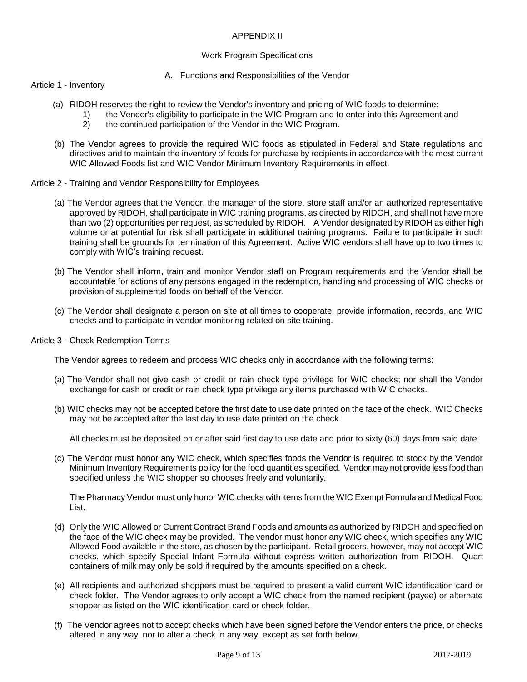## APPENDIX II

## Work Program Specifications

#### A. Functions and Responsibilities of the Vendor

Article 1 - Inventory

- (a) RIDOH reserves the right to review the Vendor's inventory and pricing of WIC foods to determine:
	- 1) the Vendor's eligibility to participate in the WIC Program and to enter into this Agreement and <br>2) the continued participation of the Vendor in the WIC Program.
	- the continued participation of the Vendor in the WIC Program.
- (b) The Vendor agrees to provide the required WIC foods as stipulated in Federal and State regulations and directives and to maintain the inventory of foods for purchase by recipients in accordance with the most current WIC Allowed Foods list and WIC Vendor Minimum Inventory Requirements in effect.
- Article 2 Training and Vendor Responsibility for Employees
	- (a) The Vendor agrees that the Vendor, the manager of the store, store staff and/or an authorized representative approved by RIDOH, shall participate in WIC training programs, as directed by RIDOH, and shall not have more than two (2) opportunities per request, as scheduled by RIDOH. A Vendor designated by RIDOH as either high volume or at potential for risk shall participate in additional training programs. Failure to participate in such training shall be grounds for termination of this Agreement. Active WIC vendors shall have up to two times to comply with WIC's training request.
	- (b) The Vendor shall inform, train and monitor Vendor staff on Program requirements and the Vendor shall be accountable for actions of any persons engaged in the redemption, handling and processing of WIC checks or provision of supplemental foods on behalf of the Vendor.
	- (c) The Vendor shall designate a person on site at all times to cooperate, provide information, records, and WIC checks and to participate in vendor monitoring related on site training.
- Article 3 Check Redemption Terms

The Vendor agrees to redeem and process WIC checks only in accordance with the following terms:

- (a) The Vendor shall not give cash or credit or rain check type privilege for WIC checks; nor shall the Vendor exchange for cash or credit or rain check type privilege any items purchased with WIC checks.
- (b) WIC checks may not be accepted before the first date to use date printed on the face of the check. WIC Checks may not be accepted after the last day to use date printed on the check.

All checks must be deposited on or after said first day to use date and prior to sixty (60) days from said date.

(c) The Vendor must honor any WIC check, which specifies foods the Vendor is required to stock by the Vendor Minimum Inventory Requirements policy for the food quantities specified. Vendor may not provide less food than specified unless the WIC shopper so chooses freely and voluntarily.

The Pharmacy Vendor must only honor WIC checks with items from the WIC Exempt Formula and Medical Food List.

- (d) Only the WIC Allowed or Current Contract Brand Foods and amounts as authorized by RIDOH and specified on the face of the WIC check may be provided. The vendor must honor any WIC check, which specifies any WIC Allowed Food available in the store, as chosen by the participant. Retail grocers, however, may not accept WIC checks, which specify Special Infant Formula without express written authorization from RIDOH. Quart containers of milk may only be sold if required by the amounts specified on a check.
- (e) All recipients and authorized shoppers must be required to present a valid current WIC identification card or check folder. The Vendor agrees to only accept a WIC check from the named recipient (payee) or alternate shopper as listed on the WIC identification card or check folder.
- (f) The Vendor agrees not to accept checks which have been signed before the Vendor enters the price, or checks altered in any way, nor to alter a check in any way, except as set forth below.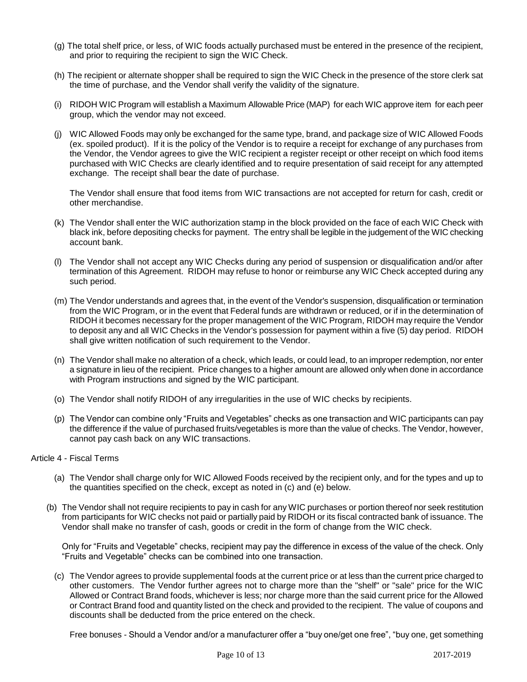- (g) The total shelf price, or less, of WIC foods actually purchased must be entered in the presence of the recipient, and prior to requiring the recipient to sign the WIC Check.
- (h) The recipient or alternate shopper shall be required to sign the WIC Check in the presence of the store clerk sat the time of purchase, and the Vendor shall verify the validity of the signature.
- (i) RIDOH WIC Program will establish a Maximum Allowable Price (MAP) for each WIC approve item for each peer group, which the vendor may not exceed.
- (j) WIC Allowed Foods may only be exchanged for the same type, brand, and package size of WIC Allowed Foods (ex. spoiled product). If it is the policy of the Vendor is to require a receipt for exchange of any purchases from the Vendor, the Vendor agrees to give the WIC recipient a register receipt or other receipt on which food items purchased with WIC Checks are clearly identified and to require presentation of said receipt for any attempted exchange. The receipt shall bear the date of purchase.

The Vendor shall ensure that food items from WIC transactions are not accepted for return for cash, credit or other merchandise.

- (k) The Vendor shall enter the WIC authorization stamp in the block provided on the face of each WIC Check with black ink, before depositing checks for payment. The entry shall be legible in the judgement of the WIC checking account bank.
- (l) The Vendor shall not accept any WIC Checks during any period of suspension or disqualification and/or after termination of this Agreement. RIDOH may refuse to honor or reimburse any WIC Check accepted during any such period.
- (m) The Vendor understands and agrees that, in the event of the Vendor's suspension, disqualification or termination from the WIC Program, or in the event that Federal funds are withdrawn or reduced, or if in the determination of RIDOH it becomes necessary for the proper management of the WIC Program, RIDOH may require the Vendor to deposit any and all WIC Checks in the Vendor's possession for payment within a five (5) day period. RIDOH shall give written notification of such requirement to the Vendor.
- (n) The Vendor shall make no alteration of a check, which leads, or could lead, to an improper redemption, nor enter a signature in lieu of the recipient. Price changes to a higher amount are allowed only when done in accordance with Program instructions and signed by the WIC participant.
- (o) The Vendor shall notify RIDOH of any irregularities in the use of WIC checks by recipients.
- (p) The Vendor can combine only "Fruits and Vegetables" checks as one transaction and WIC participants can pay the difference if the value of purchased fruits/vegetables is more than the value of checks. The Vendor, however, cannot pay cash back on any WIC transactions.
- Article 4 Fiscal Terms
	- (a) The Vendor shall charge only for WIC Allowed Foods received by the recipient only, and for the types and up to the quantities specified on the check, except as noted in (c) and (e) below.
	- (b) The Vendor shall not require recipients to pay in cash for any WIC purchases or portion thereof nor seek restitution from participants for WIC checks not paid or partially paid by RIDOH or its fiscal contracted bank of issuance. The Vendor shall make no transfer of cash, goods or credit in the form of change from the WIC check.

Only for "Fruits and Vegetable" checks, recipient may pay the difference in excess of the value of the check. Only "Fruits and Vegetable" checks can be combined into one transaction.

(c) The Vendor agrees to provide supplemental foods at the current price or at less than the current price charged to other customers. The Vendor further agrees not to charge more than the "shelf" or "sale" price for the WIC Allowed or Contract Brand foods, whichever is less; nor charge more than the said current price for the Allowed or Contract Brand food and quantity listed on the check and provided to the recipient. The value of coupons and discounts shall be deducted from the price entered on the check.

Free bonuses - Should a Vendor and/or a manufacturer offer a "buy one/get one free", "buy one, get something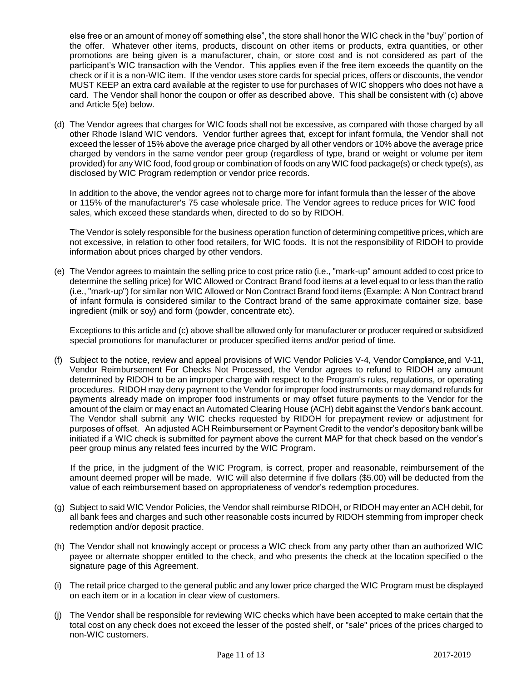else free or an amount of money off something else", the store shall honor the WIC check in the "buy" portion of the offer. Whatever other items, products, discount on other items or products, extra quantities, or other promotions are being given is a manufacturer, chain, or store cost and is not considered as part of the participant's WIC transaction with the Vendor. This applies even if the free item exceeds the quantity on the check or if it is a non-WIC item. If the vendor uses store cards for special prices, offers or discounts, the vendor MUST KEEP an extra card available at the register to use for purchases of WIC shoppers who does not have a card. The Vendor shall honor the coupon or offer as described above. This shall be consistent with (c) above and Article 5(e) below.

(d) The Vendor agrees that charges for WIC foods shall not be excessive, as compared with those charged by all other Rhode Island WIC vendors. Vendor further agrees that, except for infant formula, the Vendor shall not exceed the lesser of 15% above the average price charged by all other vendors or 10% above the average price charged by vendors in the same vendor peer group (regardless of type, brand or weight or volume per item provided) for any WIC food, food group or combination of foods on any WIC food package(s) or check type(s), as disclosed by WIC Program redemption or vendor price records.

In addition to the above, the vendor agrees not to charge more for infant formula than the lesser of the above or 115% of the manufacturer's 75 case wholesale price. The Vendor agrees to reduce prices for WIC food sales, which exceed these standards when, directed to do so by RIDOH.

The Vendor is solely responsible for the business operation function of determining competitive prices, which are not excessive, in relation to other food retailers, for WIC foods. It is not the responsibility of RIDOH to provide information about prices charged by other vendors.

(e) The Vendor agrees to maintain the selling price to cost price ratio (i.e., "mark-up" amount added to cost price to determine the selling price) for WIC Allowed or Contract Brand food items at a level equal to or less than the ratio (i.e., "mark-up") for similar non WIC Allowed or Non Contract Brand food items (Example: A Non Contract brand of infant formula is considered similar to the Contract brand of the same approximate container size, base ingredient (milk or soy) and form (powder, concentrate etc).

Exceptions to this article and (c) above shall be allowed only for manufacturer or producer required or subsidized special promotions for manufacturer or producer specified items and/or period of time.

(f) Subject to the notice, review and appeal provisions of WIC Vendor Policies V-4, Vendor Compliance, and V-11, Vendor Reimbursement For Checks Not Processed, the Vendor agrees to refund to RIDOH any amount determined by RIDOH to be an improper charge with respect to the Program's rules, regulations, or operating procedures. RIDOH may deny payment to the Vendor for improper food instruments or may demand refunds for payments already made on improper food instruments or may offset future payments to the Vendor for the amount of the claim or may enact an Automated Clearing House (ACH) debit against the Vendor's bank account. The Vendor shall submit any WIC checks requested by RIDOH for prepayment review or adjustment for purposes of offset. An adjusted ACH Reimbursement or Payment Credit to the vendor's depository bank will be initiated if a WIC check is submitted for payment above the current MAP for that check based on the vendor's peer group minus any related fees incurred by the WIC Program.

If the price, in the judgment of the WIC Program, is correct, proper and reasonable, reimbursement of the amount deemed proper will be made. WIC will also determine if five dollars (\$5.00) will be deducted from the value of each reimbursement based on appropriateness of vendor's redemption procedures.

- (g) Subject to said WIC Vendor Policies, the Vendor shall reimburse RIDOH, or RIDOH may enter an ACH debit, for all bank fees and charges and such other reasonable costs incurred by RIDOH stemming from improper check redemption and/or deposit practice.
- (h) The Vendor shall not knowingly accept or process a WIC check from any party other than an authorized WIC payee or alternate shopper entitled to the check, and who presents the check at the location specified o the signature page of this Agreement.
- (i) The retail price charged to the general public and any lower price charged the WIC Program must be displayed on each item or in a location in clear view of customers.
- (j) The Vendor shall be responsible for reviewing WIC checks which have been accepted to make certain that the total cost on any check does not exceed the lesser of the posted shelf, or "sale" prices of the prices charged to non-WIC customers.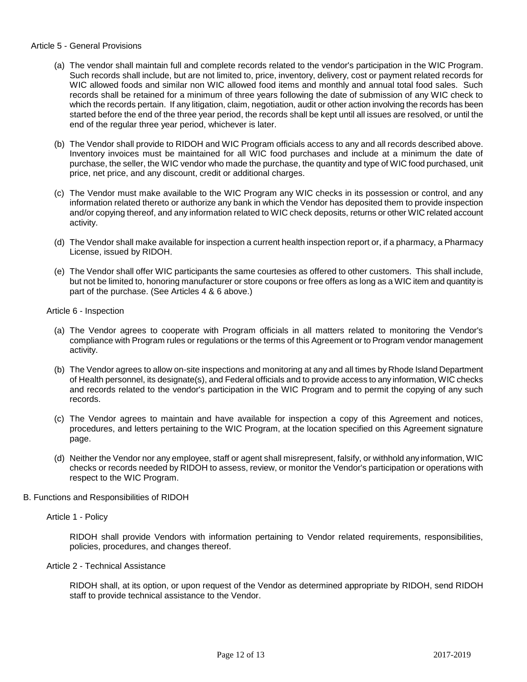#### Article 5 - General Provisions

- (a) The vendor shall maintain full and complete records related to the vendor's participation in the WIC Program. Such records shall include, but are not limited to, price, inventory, delivery, cost or payment related records for WIC allowed foods and similar non WIC allowed food items and monthly and annual total food sales. Such records shall be retained for a minimum of three years following the date of submission of any WIC check to which the records pertain. If any litigation, claim, negotiation, audit or other action involving the records has been started before the end of the three year period, the records shall be kept until all issues are resolved, or until the end of the regular three year period, whichever is later.
- (b) The Vendor shall provide to RIDOH and WIC Program officials access to any and all records described above. Inventory invoices must be maintained for all WIC food purchases and include at a minimum the date of purchase, the seller, the WIC vendor who made the purchase, the quantity and type of WIC food purchased, unit price, net price, and any discount, credit or additional charges.
- (c) The Vendor must make available to the WIC Program any WIC checks in its possession or control, and any information related thereto or authorize any bank in which the Vendor has deposited them to provide inspection and/or copying thereof, and any information related to WIC check deposits, returns or other WIC related account activity.
- (d) The Vendor shall make available for inspection a current health inspection report or, if a pharmacy, a Pharmacy License, issued by RIDOH.
- (e) The Vendor shall offer WIC participants the same courtesies as offered to other customers. This shall include, but not be limited to, honoring manufacturer or store coupons or free offers as long as a WIC item and quantity is part of the purchase. (See Articles 4 & 6 above.)

Article 6 - Inspection

- (a) The Vendor agrees to cooperate with Program officials in all matters related to monitoring the Vendor's compliance with Program rules or regulations or the terms of this Agreement or to Program vendor management activity.
- (b) The Vendor agrees to allow on-site inspections and monitoring at any and all times by Rhode Island Department of Health personnel, its designate(s), and Federal officials and to provide access to any information, WIC checks and records related to the vendor's participation in the WIC Program and to permit the copying of any such records.
- (c) The Vendor agrees to maintain and have available for inspection a copy of this Agreement and notices, procedures, and letters pertaining to the WIC Program, at the location specified on this Agreement signature page.
- (d) Neither the Vendor nor any employee, staff or agent shall misrepresent, falsify, or withhold any information, WIC checks or records needed by RIDOH to assess, review, or monitor the Vendor's participation or operations with respect to the WIC Program.
- B. Functions and Responsibilities of RIDOH

## Article 1 - Policy

RIDOH shall provide Vendors with information pertaining to Vendor related requirements, responsibilities, policies, procedures, and changes thereof.

#### Article 2 - Technical Assistance

RIDOH shall, at its option, or upon request of the Vendor as determined appropriate by RIDOH, send RIDOH staff to provide technical assistance to the Vendor.